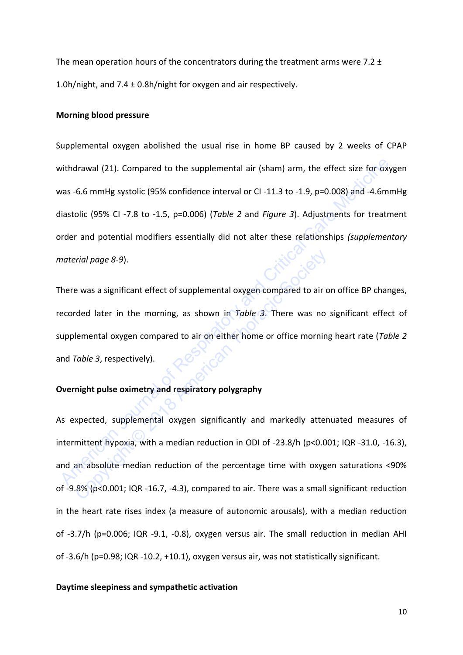The mean operation hours of the concentrators during the treatment arms were 7.2  $\pm$ 1.0h/night, and  $7.4 \pm 0.8$ h/night for oxygen and air respectively.

#### **Morning blood pressure**

Supplemental oxygen abolished the usual rise in home BP caused by 2 weeks of CPAP withdrawal (21). Compared to the supplemental air (sham) arm, the effect size for oxygen was -6.6 mmHg systolic (95% confidence interval or CI -11.3 to -1.9, p=0.008) and -4.6mmHg diastolic (95% CI -7.8 to -1.5, p=0.006) (*Table 2* and *Figure 3*). Adjustments for treatment order and potential modifiers essentially did not alter these relationships *(supplementary material page 8-9*). withdrawal (21). Compared to the supplemental air (sham) arm, the effect size for oxy<br>
was -6.6 mmHg systolic (95% confidence interval or CI-11.3 to -1.9, p=0.008) and -4.6mm<br>
diastolic (95% CI-7.8 to -1.5, p=0.006) (*Tobl* 

There was a significant effect of supplemental oxygen compared to air on office BP changes, recorded later in the morning, as shown in *Table 3*. There was no significant effect of supplemental oxygen compared to air on either home or office morning heart rate (*Table 2* and *Table 3*, respectively).

## **Overnight pulse oximetry and respiratory polygraphy**

As expected, supplemental oxygen significantly and markedly attenuated measures of intermittent hypoxia, with a median reduction in ODI of -23.8/h (p<0.001; IQR -31.0, -16.3), and an absolute median reduction of the percentage time with oxygen saturations <90% of -9.8% (p<0.001; IQR -16.7, -4.3), compared to air. There was a small significant reduction in the heart rate rises index (a measure of autonomic arousals), with a median reduction of -3.7/h (p=0.006; IQR -9.1, -0.8), oxygen versus air. The small reduction in median AHI of -3.6/h (p=0.98; IQR -10.2, +10.1), oxygen versus air, was not statistically significant. e was a significant effect of supplemental oxygen compared to air orded later in the morning, as shown in *Table 3*. There was no<br>lemental oxygen compared to air on either home or office morning<br>*Table 3*, respectively).<br>

#### **Daytime sleepiness and sympathetic activation**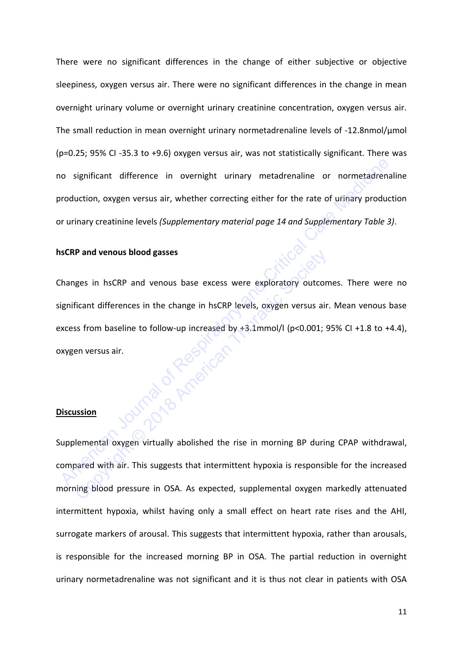There were no significant differences in the change of either subjective or objective sleepiness, oxygen versus air. There were no significant differences in the change in mean overnight urinary volume or overnight urinary creatinine concentration, oxygen versus air. The small reduction in mean overnight urinary normetadrenaline levels of -12.8nmol/μmol (p=0.25; 95% CI -35.3 to +9.6) oxygen versus air, was not statistically significant. There was no significant difference in overnight urinary metadrenaline or normetadrenaline production, oxygen versus air, whether correcting either for the rate of urinary production or urinary creatinine levels *(Supplementary material page 14 and Supplementary Table 3)*.

### **hsCRP and venous blood gasses**

Changes in hsCRP and venous base excess were exploratory outcomes. There were no significant differences in the change in hsCRP levels, oxygen versus air. Mean venous base excess from baseline to follow-up increased by +3.1mmol/l (p<0.001; 95% CI +1.8 to +4.4), oxygen versus air. No significant difference in overnight urinary metadrenaline or normetadrenal<br>
American Voluntinary creatinine levels (Supplementary material page 14 and Supplementary Table 3)<br>
SCRP and venous blood gasses<br>
SCRP and venou Copyright October 100

#### **Discussion**

Supplemental oxygen virtually abolished the rise in morning BP during CPAP withdrawal, compared with air. This suggests that intermittent hypoxia is responsible for the increased morning blood pressure in OSA. As expected, supplemental oxygen markedly attenuated intermittent hypoxia, whilst having only a small effect on heart rate rises and the AHI, surrogate markers of arousal. This suggests that intermittent hypoxia, rather than arousals, is responsible for the increased morning BP in OSA. The partial reduction in overnight urinary normetadrenaline was not significant and it is thus not clear in patients with OSA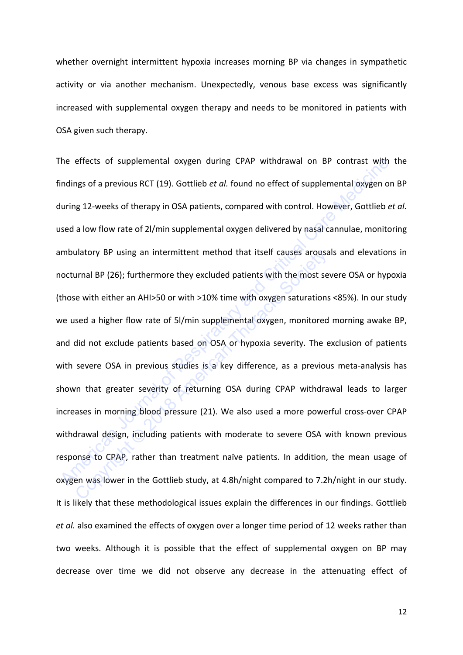whether overnight intermittent hypoxia increases morning BP via changes in sympathetic activity or via another mechanism. Unexpectedly, venous base excess was significantly increased with supplemental oxygen therapy and needs to be monitored in patients with OSA given such therapy.

The effects of supplemental oxygen during CPAP withdrawal on BP contrast with the findings of a previous RCT (19). Gottlieb *et al.* found no effect of supplemental oxygen on BP during 12-weeks of therapy in OSA patients, compared with control. However, Gottlieb *et al.*  used a low flow rate of 2l/min supplemental oxygen delivered by nasal cannulae, monitoring ambulatory BP using an intermittent method that itself causes arousals and elevations in nocturnal BP (26); furthermore they excluded patients with the most severe OSA or hypoxia (those with either an AHI>50 or with >10% time with oxygen saturations <85%). In our study we used a higher flow rate of 5l/min supplemental oxygen, monitored morning awake BP, and did not exclude patients based on OSA or hypoxia severity. The exclusion of patients with severe OSA in previous studies is a key difference, as a previous meta-analysis has shown that greater severity of returning OSA during CPAP withdrawal leads to larger increases in morning blood pressure (21). We also used a more powerful cross-over CPAP withdrawal design, including patients with moderate to severe OSA with known previous response to CPAP, rather than treatment naïve patients. In addition, the mean usage of oxygen was lower in the Gottlieb study, at 4.8h/night compared to 7.2h/night in our study. It is likely that these methodological issues explain the differences in our findings. Gottlieb *et al.* also examined the effects of oxygen over a longer time period of 12 weeks rather than two weeks. Although it is possible that the effect of supplemental oxygen on BP may decrease over time we did not observe any decrease in the attenuating effect of The effects of supplemental oxygen during CPAP withdrawal on BP contrast with<br>indings of a previous RCT (19). Gottlieb et al. found no effect of supplemental oxygen on<br>luring 12-weeks of therapy in OSA patients, compared w ulatory BP using an intermittent method that itself causes arousa<br>urnal BP (26); furthermore they excluded patients with the most se<br>e with either an AHI>50 or with >10% time with oxygen saturations<br>sed a higher flow rate

12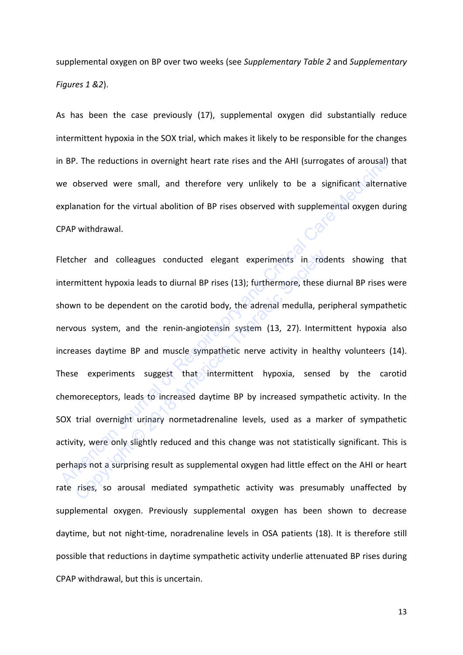supplemental oxygen on BP over two weeks (see *Supplementary Table 2* and *Supplementary Figures 1 &2*).

As has been the case previously (17), supplemental oxygen did substantially reduce intermittent hypoxia in the SOX trial, which makes it likely to be responsible for the changes in BP. The reductions in overnight heart rate rises and the AHI (surrogates of arousal) that we observed were small, and therefore very unlikely to be a significant alternative explanation for the virtual abolition of BP rises observed with supplemental oxygen during CPAP withdrawal.

Fletcher and colleagues conducted elegant experiments in rodents showing that intermittent hypoxia leads to diurnal BP rises (13); furthermore, these diurnal BP rises were shown to be dependent on the carotid body, the adrenal medulla, peripheral sympathetic nervous system, and the renin-angiotensin system (13, 27). Intermittent hypoxia also increases daytime BP and muscle sympathetic nerve activity in healthy volunteers (14). These experiments suggest that intermittent hypoxia, sensed by the carotid chemoreceptors, leads to increased daytime BP by increased sympathetic activity. In the SOX trial overnight urinary normetadrenaline levels, used as a marker of sympathetic activity, were only slightly reduced and this change was not statistically significant. This is perhaps not a surprising result as supplemental oxygen had little effect on the AHI or heart rate rises, so arousal mediated sympathetic activity was presumably unaffected by supplemental oxygen. Previously supplemental oxygen has been shown to decrease daytime, but not night-time, noradrenaline levels in OSA patients (18). It is therefore still possible that reductions in daytime sympathetic activity underlie attenuated BP rises during CPAP withdrawal, but this is uncertain. n BP. The reductions in overnight heart rate rises and the AHI (surrogates of arousal) t<br>ve observed were small, and therefore very unlikely to be a significant alternat<br>xplanation for the virtual abolition of BP rises obs her and colleagues conducted elegant experiments in rod<br>mittent hypoxia leads to diurnal BP rises (13); furthermore, these or<br>an to be dependent on the carotid body, the adrenal medulla, per<br>ous system, and the renin-angio

13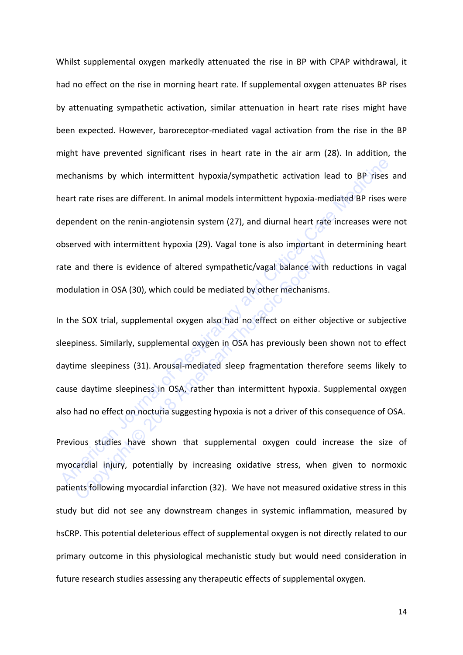Whilst supplemental oxygen markedly attenuated the rise in BP with CPAP withdrawal, it had no effect on the rise in morning heart rate. If supplemental oxygen attenuates BP rises by attenuating sympathetic activation, similar attenuation in heart rate rises might have been expected. However, baroreceptor-mediated vagal activation from the rise in the BP might have prevented significant rises in heart rate in the air arm (28). In addition, the mechanisms by which intermittent hypoxia/sympathetic activation lead to BP rises and heart rate rises are different. In animal models intermittent hypoxia-mediated BP rises were dependent on the renin-angiotensin system (27), and diurnal heart rate increases were not observed with intermittent hypoxia (29). Vagal tone is also important in determining heart rate and there is evidence of altered sympathetic/vagal balance with reductions in vagal modulation in OSA (30), which could be mediated by other mechanisms. mechanisms by which intermittent hypoxia/sympathetic activation lead to BP rises and trate rises are different. In animal models intermittent hypoxia-mediated BP rises were<br>the pendent on the renin-angiotensin system (27),

In the SOX trial, supplemental oxygen also had no effect on either objective or subjective sleepiness. Similarly, supplemental oxygen in OSA has previously been shown not to effect daytime sleepiness (31). Arousal-mediated sleep fragmentation therefore seems likely to cause daytime sleepiness in OSA, rather than intermittent hypoxia. Supplemental oxygen also had no effect on nocturia suggesting hypoxia is not a driver of this consequence of OSA. and there is evidence of altered sympathetic/vagal balance with<br>ulation in OSA (30), which could be mediated by other mechanisms.<br>E SOX trial, supplemental oxygen also had no effect on either ob<br>piness. Similarly, suppleme

Previous studies have shown that supplemental oxygen could increase the size of myocardial injury, potentially by increasing oxidative stress, when given to normoxic patients following myocardial infarction (32). We have not measured oxidative stress in this study but did not see any downstream changes in systemic inflammation, measured by hsCRP. This potential deleterious effect of supplemental oxygen is not directly related to our primary outcome in this physiological mechanistic study but would need consideration in future research studies assessing any therapeutic effects of supplemental oxygen.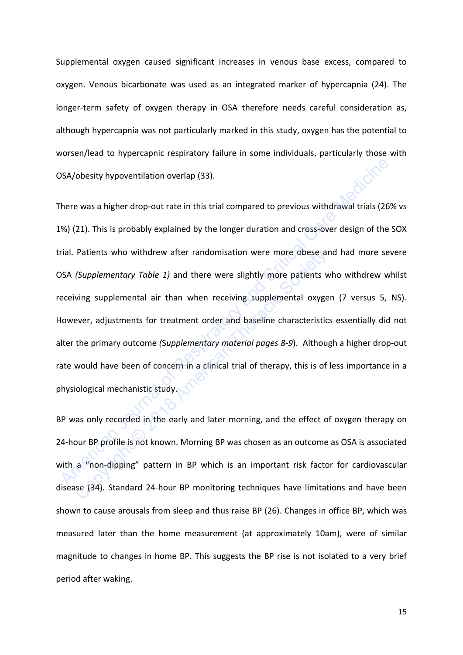Supplemental oxygen caused significant increases in venous base excess, compared to oxygen. Venous bicarbonate was used as an integrated marker of hypercapnia (24). The longer-term safety of oxygen therapy in OSA therefore needs careful consideration as, although hypercapnia was not particularly marked in this study, oxygen has the potential to worsen/lead to hypercapnic respiratory failure in some individuals, particularly those with OSA/obesity hypoventilation overlap (33).

There was a higher drop-out rate in this trial compared to previous withdrawal trials (26% vs 1%) (21). This is probably explained by the longer duration and cross-over design of the SOX trial. Patients who withdrew after randomisation were more obese and had more severe OSA *(Supplementary Table 1)* and there were slightly more patients who withdrew whilst receiving supplemental air than when receiving supplemental oxygen (7 versus 5, NS). However, adjustments for treatment order and baseline characteristics essentially did not alter the primary outcome *(*S*upplementary material pages 8-9*). Although a higher drop-out rate would have been of concern in a clinical trial of therapy, this is of less importance in a physiological mechanistic study. SSA/obesity hypoventilation overlap (33).<br>
There was a higher drop-out rate in this trial compared to previous withdrawal trials (26%<br>
2%) (21). This is probably explained by the longer duration and cross-over design of th Patients who withdrew after randomisation were more obese an<br>
(Supplementary Table 1) and there were slightly more patients w<br>
ving supplemental air than when receiving supplemental oxyge<br>
ever, adjustments for treatment o

BP was only recorded in the early and later morning, and the effect of oxygen therapy on 24-hour BP profile is not known. Morning BP was chosen as an outcome as OSA is associated with a "non-dipping" pattern in BP which is an important risk factor for cardiovascular disease (34). Standard 24-hour BP monitoring techniques have limitations and have been shown to cause arousals from sleep and thus raise BP (26). Changes in office BP, which was measured later than the home measurement (at approximately 10am), were of similar magnitude to changes in home BP. This suggests the BP rise is not isolated to a very brief period after waking.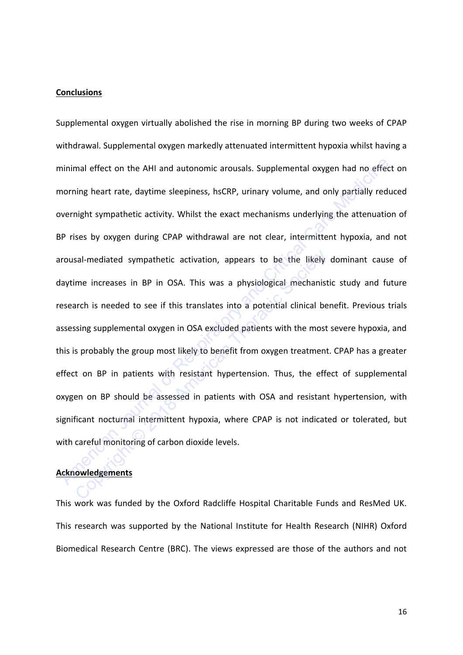### **Conclusions**

Supplemental oxygen virtually abolished the rise in morning BP during two weeks of CPAP withdrawal. Supplemental oxygen markedly attenuated intermittent hypoxia whilst having a minimal effect on the AHI and autonomic arousals. Supplemental oxygen had no effect on morning heart rate, daytime sleepiness, hsCRP, urinary volume, and only partially reduced overnight sympathetic activity. Whilst the exact mechanisms underlying the attenuation of BP rises by oxygen during CPAP withdrawal are not clear, intermittent hypoxia, and not arousal-mediated sympathetic activation, appears to be the likely dominant cause of daytime increases in BP in OSA. This was a physiological mechanistic study and future research is needed to see if this translates into a potential clinical benefit. Previous trials assessing supplemental oxygen in OSA excluded patients with the most severe hypoxia, and this is probably the group most likely to benefit from oxygen treatment. CPAP has a greater effect on BP in patients with resistant hypertension. Thus, the effect of supplemental oxygen on BP should be assessed in patients with OSA and resistant hypertension, with significant nocturnal intermittent hypoxia, where CPAP is not indicated or tolerated, but with careful monitoring of carbon dioxide levels. minimal effect on the AHI and autonomic arousals. Supplemental oxygen had no effect<br>morning heart rate, daytime sleepiness, hsCRP, urinary volume, and only partially reduver<br>might sympathetic activity. Whilst the exact mec sal-mediated sympathetic activation, appears to be the likely<br>me increases in BP in OSA. This was a physiological mechanist<br>arch is needed to see if this translates into a potential clinical be<br>sing supplemental oxygen in

## **Acknowledgements**

This work was funded by the Oxford Radcliffe Hospital Charitable Funds and ResMed UK. This research was supported by the National Institute for Health Research (NIHR) Oxford Biomedical Research Centre (BRC). The views expressed are those of the authors and not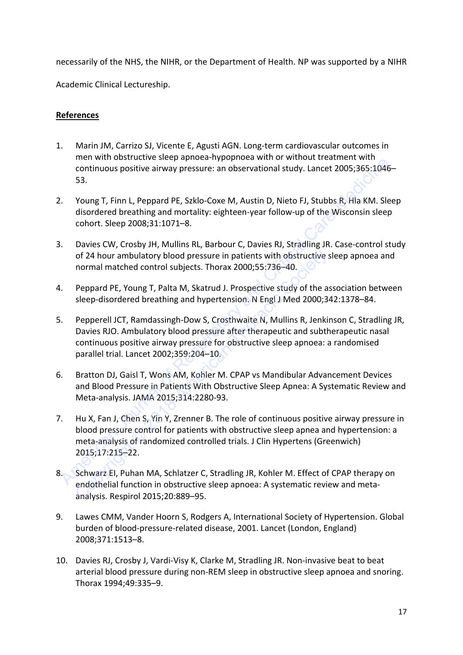necessarily of the NHS, the NIHR, or the Department of Health. NP was supported by a NIHR

Academic Clinical Lectureship.

## **References**

- 1. Marin JM, Carrizo SJ, Vicente E, Agusti AGN. Long-term cardiovascular outcomes in men with obstructive sleep apnoea-hypopnoea with or without treatment with continuous positive airway pressure: an observational study. Lancet 2005;365:1046– 53.
- 2. Young T, Finn L, Peppard PE, Szklo-Coxe M, Austin D, Nieto FJ, Stubbs R, Hla KM. Sleep disordered breathing and mortality: eighteen-year follow-up of the Wisconsin sleep cohort. Sleep 2008;31:1071–8.
- 3. Davies CW, Crosby JH, Mullins RL, Barbour C, Davies RJ, Stradling JR. Case-control study of 24 hour ambulatory blood pressure in patients with obstructive sleep apnoea and normal matched control subjects. Thorax 2000;55:736–40.
- 4. Peppard PE, Young T, Palta M, Skatrud J. Prospective study of the association between sleep-disordered breathing and hypertension. N Engl J Med 2000;342:1378–84.
- 5. Pepperell JCT, Ramdassingh-Dow S, Crosthwaite N, Mullins R, Jenkinson C, Stradling JR, Davies RJO. Ambulatory blood pressure after therapeutic and subtherapeutic nasal continuous positive airway pressure for obstructive sleep apnoea: a randomised parallel trial. Lancet 2002;359:204–10.
- 6. Bratton DJ, Gaisl T, Wons AM, Kohler M. CPAP vs Mandibular Advancement Devices and Blood Pressure in Patients With Obstructive Sleep Apnea: A Systematic Review and Meta-analysis. JAMA 2015;314:2280-93.
- 7. Hu X, Fan J, Chen S, Yin Y, Zrenner B. The role of continuous positive airway pressure in blood pressure control for patients with obstructive sleep apnea and hypertension: a meta-analysis of randomized controlled trials. J Clin Hypertens (Greenwich) 2015;17:215–22. neutwith Usan Uncore every approach with Uncore that the Nobelia Critical Care Theorem Constitues (Software Cheminal Study, Lancet 2005;365:1046-<br>
23. Young T, Finn L, Peppard PE, Szklo-Coxe M, Austin D, Nieto FJ, Stubbs R of 24 hour ambulatory blood pressure in patients with obstructive incread matched control subjects. Thorax 2000;55:736-40.<br>
Peppard PE, Young T, Palta M, Skatrud J. Prospective study of the a<br>
sleep-disordered breathing an
- 8. Schwarz EI, Puhan MA, Schlatzer C, Stradling JR, Kohler M. Effect of CPAP therapy on endothelial function in obstructive sleep apnoea: A systematic review and metaanalysis. Respirol 2015;20:889–95.
- 9. Lawes CMM, Vander Hoorn S, Rodgers A, International Society of Hypertension. Global burden of blood-pressure-related disease, 2001. Lancet (London, England) 2008;371:1513–8.
- 10. Davies RJ, Crosby J, Vardi-Visy K, Clarke M, Stradling JR. Non-invasive beat to beat arterial blood pressure during non-REM sleep in obstructive sleep apnoea and snoring. Thorax 1994;49:335–9.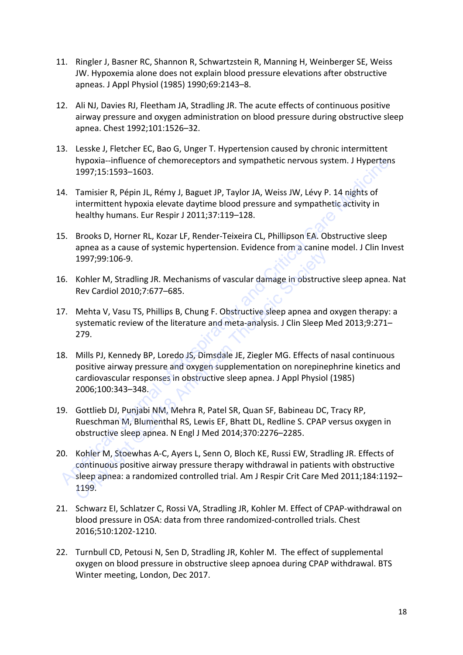- 11. Ringler J, Basner RC, Shannon R, Schwartzstein R, Manning H, Weinberger SE, Weiss JW. Hypoxemia alone does not explain blood pressure elevations after obstructive apneas. J Appl Physiol (1985) 1990;69:2143–8.
- 12. Ali NJ, Davies RJ, Fleetham JA, Stradling JR. The acute effects of continuous positive airway pressure and oxygen administration on blood pressure during obstructive sleep apnea. Chest 1992;101:1526–32.
- 13. Lesske J, Fletcher EC, Bao G, Unger T. Hypertension caused by chronic intermittent hypoxia--influence of chemoreceptors and sympathetic nervous system. J Hypertens 1997;15:1593–1603.
- 14. Tamisier R, Pépin JL, Rémy J, Baguet JP, Taylor JA, Weiss JW, Lévy P. 14 nights of intermittent hypoxia elevate daytime blood pressure and sympathetic activity in healthy humans. Eur Respir J 2011;37:119–128.
- 15. Brooks D, Horner RL, Kozar LF, Render-Teixeira CL, Phillipson EA. Obstructive sleep apnea as a cause of systemic hypertension. Evidence from a canine model. J Clin Invest 1997;99:106-9.
- 16. Kohler M, Stradling JR. Mechanisms of vascular damage in obstructive sleep apnea. Nat Rev Cardiol 2010;7:677–685.
- 17. Mehta V, Vasu TS, Phillips B, Chung F. Obstructive sleep apnea and oxygen therapy: a systematic review of the literature and meta-analysis. J Clin Sleep Med 2013;9:271– 279.
- 18. Mills PJ, Kennedy BP, Loredo JS, Dimsdale JE, Ziegler MG. Effects of nasal continuous positive airway pressure and oxygen supplementation on norepinephrine kinetics and cardiovascular responses in obstructive sleep apnea. J Appl Physiol (1985) 2006;100:343–348. hypoxia -inithuence of chemoreceptors and sympathetic nervous system. J Hypertens<br>
1997;15:1593–1603.<br>
1. Tamisier R, Pépin JL, Rémy J, Baguet JP, Taylor JA, Weiss JW, Lévy P. 14 nights of<br>
intermittent hypoxia elevate da 1997;99:106-9.<br>
1997;99:106-9.<br>
Kohler M, Stradling JR. Mechanisms of vascular damage in obstruct<br>
Rev Cardiol 2010;7:677–685.<br>
Mehta V, Vasu TS, Phillips B, Chung F. Obstructive sleep apnea and<br>
systematic review of the l
- 19. Gottlieb DJ, Punjabi NM, Mehra R, Patel SR, Quan SF, Babineau DC, Tracy RP, Rueschman M, Blumenthal RS, Lewis EF, Bhatt DL, Redline S. CPAP versus oxygen in obstructive sleep apnea. N Engl J Med 2014;370:2276–2285.
- 20. Kohler M, Stoewhas A-C, Ayers L, Senn O, Bloch KE, Russi EW, Stradling JR. Effects of continuous positive airway pressure therapy withdrawal in patients with obstructive sleep apnea: a randomized controlled trial. Am J Respir Crit Care Med 2011;184:1192– 1199.
- 21. Schwarz EI, Schlatzer C, Rossi VA, Stradling JR, Kohler M. Effect of CPAP-withdrawal on blood pressure in OSA: data from three randomized-controlled trials. Chest 2016;510:1202-1210.
- 22. Turnbull CD, Petousi N, Sen D, Stradling JR, Kohler M. The effect of supplemental oxygen on blood pressure in obstructive sleep apnoea during CPAP withdrawal. BTS Winter meeting, London, Dec 2017.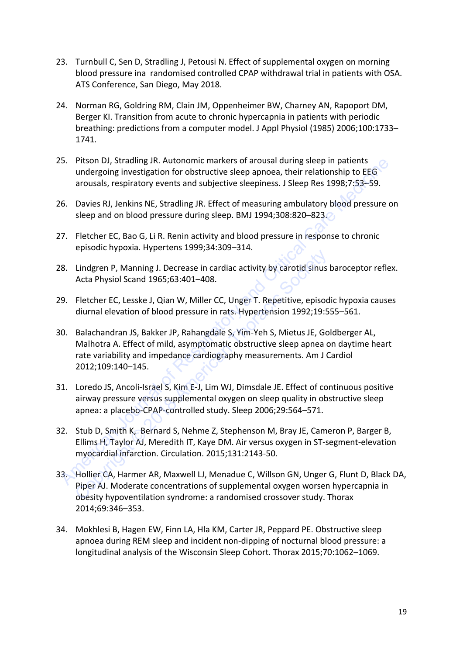- 23. Turnbull C, Sen D, Stradling J, Petousi N. Effect of supplemental oxygen on morning blood pressure ina randomised controlled CPAP withdrawal trial in patients with OSA. ATS Conference, San Diego, May 2018.
- 24. Norman RG, Goldring RM, Clain JM, Oppenheimer BW, Charney AN, Rapoport DM, Berger KI. Transition from acute to chronic hypercapnia in patients with periodic breathing: predictions from a computer model. J Appl Physiol (1985) 2006;100:1733– 1741.
- 25. Pitson DJ, Stradling JR. Autonomic markers of arousal during sleep in patients undergoing investigation for obstructive sleep apnoea, their relationship to EEG arousals, respiratory events and subjective sleepiness. J Sleep Res 1998;7:53–59.
- 26. Davies RJ, Jenkins NE, Stradling JR. Effect of measuring ambulatory blood pressure on sleep and on blood pressure during sleep. BMJ 1994;308:820-823.
- 27. Fletcher EC, Bao G, Li R. Renin activity and blood pressure in response to chronic episodic hypoxia. Hypertens 1999;34:309–314.
- 28. Lindgren P, Manning J. Decrease in cardiac activity by carotid sinus baroceptor reflex. Acta Physiol Scand 1965;63:401–408.
- 29. Fletcher EC, Lesske J, Qian W, Miller CC, Unger T. Repetitive, episodic hypoxia causes diurnal elevation of blood pressure in rats. Hypertension 1992;19:555–561.
- 30. Balachandran JS, Bakker JP, Rahangdale S, Yim-Yeh S, Mietus JE, Goldberger AL, Malhotra A. Effect of mild, asymptomatic obstructive sleep apnea on daytime heart rate variability and impedance cardiography measurements. Am J Cardiol 2012;109:140–145. 15. Pitson DJ, Stradling JR. Autonomic markers of arousal during sleep in patients<br>
undergoing investigation for obstructive sleep apmoea, their relationship to EEG<br>
arousals, respiratory events and subjective sleepiness. Example Thomation Journal Controlling I. Decrease in cardiac activity by carotid sinus<br>Acta Physiol Scand 1965;63:401-408.<br>Fletcher EC, Lesske J, Qian W, Miller CC, Unger T. Repetitive, episoc<br>diurnal elevation of blood pr
- 31. Loredo JS, Ancoli-Israel S, Kim E-J, Lim WJ, Dimsdale JE. Effect of continuous positive airway pressure versus supplemental oxygen on sleep quality in obstructive sleep apnea: a placebo-CPAP-controlled study. Sleep 2006;29:564–571.
- 32. Stub D, Smith K, Bernard S, Nehme Z, Stephenson M, Bray JE, Cameron P, Barger B, Ellims H, Taylor AJ, Meredith IT, Kaye DM. Air versus oxygen in ST-segment-elevation myocardial infarction. Circulation. 2015;131:2143-50.
- 33. Hollier CA, Harmer AR, Maxwell LJ, Menadue C, Willson GN, Unger G, Flunt D, Black DA, Piper AJ. Moderate concentrations of supplemental oxygen worsen hypercapnia in obesity hypoventilation syndrome: a randomised crossover study. Thorax 2014;69:346–353.
- 34. Mokhlesi B, Hagen EW, Finn LA, Hla KM, Carter JR, Peppard PE. Obstructive sleep apnoea during REM sleep and incident non-dipping of nocturnal blood pressure: a longitudinal analysis of the Wisconsin Sleep Cohort. Thorax 2015;70:1062–1069.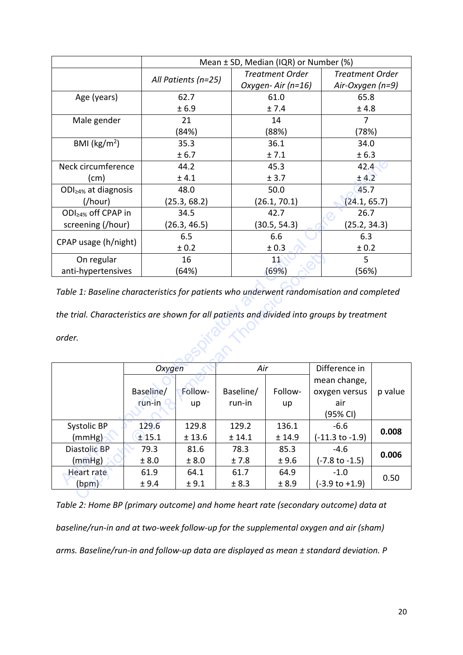|                               | Mean $\pm$ SD, Median (IQR) or Number (%) |                        |                        |  |  |  |
|-------------------------------|-------------------------------------------|------------------------|------------------------|--|--|--|
|                               |                                           | <b>Treatment Order</b> | <b>Treatment Order</b> |  |  |  |
|                               | All Patients (n=25)                       | Oxygen-Air (n=16)      | Air-Oxygen (n=9)       |  |  |  |
| Age (years)                   | 62.7                                      | 61.0                   | 65.8                   |  |  |  |
|                               | ± 6.9                                     | ± 7.4                  | ± 4.8                  |  |  |  |
| Male gender                   | 21                                        | 14                     | 7                      |  |  |  |
|                               | (84%)                                     | (88%)                  | (78%)                  |  |  |  |
| BMI ( $\text{kg/m}^2$ )       | 35.3                                      | 36.1                   | 34.0                   |  |  |  |
|                               | ± 6.7                                     | ± 7.1                  | ± 6.3                  |  |  |  |
| Neck circumference            | 44.2                                      | 45.3                   | 42.4                   |  |  |  |
| (cm)                          | ± 4.1                                     | ± 3.7                  | ±4.2                   |  |  |  |
| $ODI_{\geq 4\%}$ at diagnosis | 48.0                                      | 50.0                   | 45.7                   |  |  |  |
| ( / hour)                     | (25.3, 68.2)                              | (26.1, 70.1)           | (24.1, 65.7)           |  |  |  |
| $ODI_{\geq 4\%}$ off CPAP in  | 34.5                                      | 42.7                   | 26.7                   |  |  |  |
| screening (/hour)             | (26.3, 46.5)                              | (30.5, 54.3)           | (25.2, 34.3)           |  |  |  |
|                               | 6.5                                       | 6.6                    | 6.3                    |  |  |  |
| CPAP usage (h/night)          | ± 0.2                                     | ± 0.3                  | ± 0.2                  |  |  |  |
| On regular                    | 16                                        | 11                     | 5                      |  |  |  |
| anti-hypertensives            | (64%)                                     | (69%)                  | (56%)                  |  |  |  |

| Neck circumference                                                                                                                                                                               | 44.2      |              |           | 45.3         |                            | 42.4         |  |  |
|--------------------------------------------------------------------------------------------------------------------------------------------------------------------------------------------------|-----------|--------------|-----------|--------------|----------------------------|--------------|--|--|
| (cm)                                                                                                                                                                                             |           | ± 4.1        |           | ± 3.7        |                            | ± 4.2        |  |  |
| ODI <sub>≥4%</sub> at diagnosis                                                                                                                                                                  |           | 48.0         |           | 50.0         | 45.7                       |              |  |  |
| ( / hour)                                                                                                                                                                                        |           | (25.3, 68.2) |           | (26.1, 70.1) |                            | (24.1, 65.7) |  |  |
| ODI <sub>≥4%</sub> off CPAP in                                                                                                                                                                   |           | 34.5         |           | 42.7         |                            | 26.7         |  |  |
| screening (/hour)                                                                                                                                                                                |           | (26.3, 46.5) |           | (30.5, 54.3) | (25.2, 34.3)               |              |  |  |
|                                                                                                                                                                                                  |           | 6.5          |           | 6.6          |                            | 6.3          |  |  |
| CPAP usage (h/night)                                                                                                                                                                             |           | ± 0.2        |           | ± 0.3        |                            | ± 0.2        |  |  |
| On regular                                                                                                                                                                                       |           | 16           |           | 11           |                            | 5            |  |  |
| anti-hypertensives                                                                                                                                                                               |           | (64%)        |           | (69%)        |                            | (56%)        |  |  |
| Table 1: Baseline characteristics for patients who underwent randomisation and completed<br>the trial. Characteristics are shown for all patients and divided into groups by treatment<br>order. |           |              |           |              |                            |              |  |  |
|                                                                                                                                                                                                  |           | Oxygen       |           | Air          | Difference in              |              |  |  |
|                                                                                                                                                                                                  |           |              |           |              | mean change,               |              |  |  |
|                                                                                                                                                                                                  | Baseline/ | Follow-      | Baseline/ | Follow-      | oxygen versus              | p value      |  |  |
|                                                                                                                                                                                                  | run-in    | up           | run-in    | up           | air                        |              |  |  |
|                                                                                                                                                                                                  |           |              |           |              | (95% CI)                   |              |  |  |
| Systolic BP                                                                                                                                                                                      | 129.6     | 129.8        | 129.2     | 136.1        | $-6.6$                     | 0.008        |  |  |
| (mmHg)                                                                                                                                                                                           | $±$ 15.1  | ± 13.6       | ± 14.1    | ± 14.9       | $(-11.3 \text{ to } -1.9)$ |              |  |  |
| Diastolic BP                                                                                                                                                                                     | 79.3      | 81.6         | 78.3      | 85.3         | $-4.6$                     | 0.006        |  |  |
| (mmHg)                                                                                                                                                                                           | ± 8.0     | ± 8.0        | ±7.8      | ±9.6         | (-7.8 to -1.5)             |              |  |  |
| <b>Heart rate</b>                                                                                                                                                                                | 61.9      | 64.1         | 61.7      | 64.9         | $-1.0$                     | 0.50         |  |  |
| (bpm)                                                                                                                                                                                            | ± 9.4     | ± 9.1        | ± 8.3     | ± 8.9        |                            |              |  |  |
|                                                                                                                                                                                                  |           |              |           |              | $(-3.9 \text{ to } +1.9)$  |              |  |  |

*Table 2: Home BP (primary outcome) and home heart rate (secondary outcome) data at baseline/run-in and at two-week follow-up for the supplemental oxygen and air (sham) arms. Baseline/run-in and follow-up data are displayed as mean ± standard deviation. P*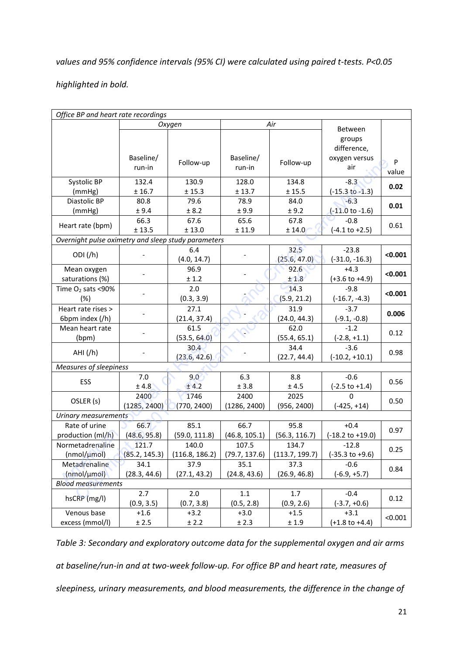# *values and 95% confidence intervals (95% CI) were calculated using paired t-tests. P<0.05*

# *highlighted in bold.*

| Office BP and heart rate recordings                 |               |                |               |                |                             |         |  |
|-----------------------------------------------------|---------------|----------------|---------------|----------------|-----------------------------|---------|--|
|                                                     |               | Oxygen         | Air           |                |                             |         |  |
|                                                     |               |                |               |                | Between                     |         |  |
|                                                     |               |                |               |                | groups<br>difference,       |         |  |
|                                                     | Baseline/     |                | Baseline/     |                |                             |         |  |
|                                                     |               | Follow-up      |               | Follow-up      | oxygen versus<br>air        | $\sf P$ |  |
|                                                     | run-in        |                | run-in        |                |                             | value   |  |
| Systolic BP                                         | 132.4         | 130.9          | 128.0         | 134.8          | $-8.3$                      | 0.02    |  |
| (mmHg)                                              | ± 16.7        | ± 15.3         | ± 13.7        | ± 15.5         | $(-15.3 \text{ to } -1.3)$  |         |  |
| Diastolic BP                                        | 80.8          | 79.6           | 78.9          | 84.0           | $-6.3$                      | 0.01    |  |
| (mmHg)                                              | ± 9.4         | ± 8.2          | ± 9.9         | ± 9.2          | $(-11.0 \text{ to } -1.6)$  |         |  |
|                                                     | 66.3          | 67.6           | 65.6          | 67.8           | $-0.8$                      | 0.61    |  |
| Heart rate (bpm)                                    | ± 13.5        | $\pm$ 13.0     | ± 11.9        | ± 14.0         | $(-4.1 \text{ to } +2.5)$   |         |  |
| Overnight pulse oximetry and sleep study parameters |               |                |               |                |                             |         |  |
|                                                     |               | 6.4            |               | 32.5           | $-23.8$                     |         |  |
| ODI(f)                                              |               | (4.0, 14.7)    |               | (25.6, 47.0)   | $(-31.0, -16.3)$            | < 0.001 |  |
| Mean oxygen                                         |               | 96.9           |               | 92.6           | $+4.3$                      |         |  |
| saturations (%)                                     |               | ± 1.2          |               | ±1.8           | $(+3.6 \text{ to } +4.9)$   | < 0.001 |  |
| Time $O_2$ sats <90%                                |               | 2.0            |               | 14.3           | $-9.8$                      |         |  |
| (%)                                                 |               | (0.3, 3.9)     |               | (5.9, 21.2)    | $(-16.7, -4.3)$             | < 0.001 |  |
| Heart rate rises >                                  |               | 27.1           |               | 31.9           | $-3.7$                      |         |  |
| 6bpm index (/h)                                     |               | (21.4, 37.4)   |               | (24.0, 44.3)   | $(-9.1, -0.8)$              | 0.006   |  |
| Mean heart rate                                     |               | 61.5           |               | 62.0           | $-1.2$                      | 0.12    |  |
| (bpm)                                               |               | (53.5, 64.0)   |               | (55.4, 65.1)   | $(-2.8, +1.1)$              |         |  |
|                                                     |               | 30.4           |               | 34.4           | $-3.6$                      |         |  |
| AHI(fh)                                             |               | (23.6, 42.6)   |               | (22.7, 44.4)   | $(-10.2, +10.1)$            | 0.98    |  |
| Measures of sleepiness                              |               |                |               |                |                             |         |  |
|                                                     | 7.0           | 9.0            | 6.3           | 8.8            | $-0.6$                      |         |  |
| ESS                                                 | ±4.8          | ± 4.2          | ± 3.8         | $\pm$ 4.5      | $(-2.5 \text{ to } +1.4)$   | 0.56    |  |
|                                                     | 2400          | 1746           | 2400          | 2025           | $\Omega$                    |         |  |
| OSLER (s)                                           | (1285, 2400)  | (770, 2400)    | (1286, 2400)  | (956, 2400)    | $(-425, +14)$               | 0.50    |  |
| Urinary measurements                                |               |                |               |                |                             |         |  |
| Rate of urine                                       | 66.7          | 85.1           | 66.7          | 95.8           | $+0.4$                      |         |  |
| production (ml/h)                                   | (48.6, 95.8)  | (59.0, 111.8)  | (46.8, 105.1) | (56.3, 116.7)  | $(-18.2 \text{ to } +19.0)$ | 0.97    |  |
| Normetadrenaline                                    | 121.7         | 140.0          | 107.5         | 134.7          | $-12.8$                     |         |  |
| (nmol/umol)                                         | (85.2, 145.3) | (116.8, 186.2) | (79.7, 137.6) | (113.7, 199.7) | $(-35.3 \text{ to } +9.6)$  | 0.25    |  |
| Metadrenaline                                       | 34.1          | 37.9           | 35.1          | 37.3           | $-0.6$                      |         |  |
| (nmol/µmol)                                         | (28.3, 44.6)  | (27.1, 43.2)   | (24.8, 43.6)  | (26.9, 46.8)   | $(-6.9, +5.7)$              | 0.84    |  |
| <b>Blood measurements</b>                           |               |                |               |                |                             |         |  |
|                                                     | 2.7           | 2.0            | $1.1\,$       | 1.7            | $-0.4$                      |         |  |
| hsCRP (mg/l)                                        | (0.9, 3.5)    | (0.7, 3.8)     | (0.5, 2.8)    | (0.9, 2.6)     | $(-3.7, +0.6)$              | 0.12    |  |
| Venous base                                         | $+1.6$        | $+3.2$         | $+3.0$        | $+1.5$         | $+3.1$                      |         |  |
| excess (mmol/l)                                     | ± 2.5         | ± 2.2          | ± 2.3         | ±1.9           | $(+1.8 \text{ to } +4.4)$   | < 0.001 |  |

*Table 3: Secondary and exploratory outcome data for the supplemental oxygen and air arms at baseline/run-in and at two-week follow-up. For office BP and heart rate, measures of sleepiness, urinary measurements, and blood measurements, the difference in the change of*